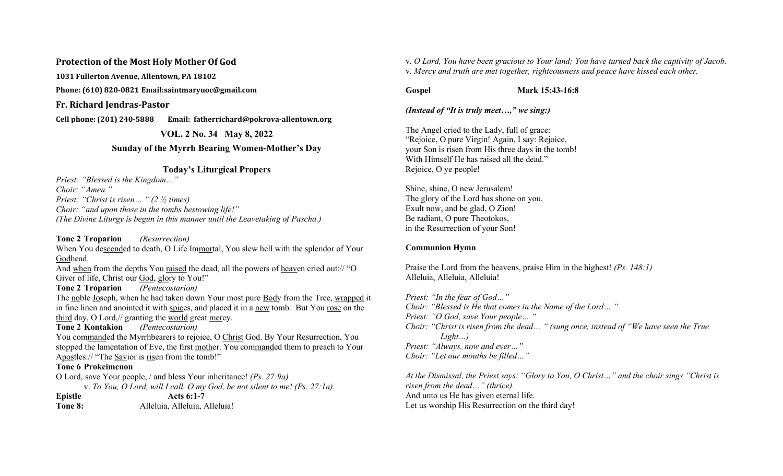#### Protection of the Most Holy Mother Of God

1031 Fullerton Avenue, Allentown, PA 18102

Phone: (610) 820-0821 Email:saintmaryuoc@gmail.com

Fr. Richard Jendras-Pastor

Cell phone: (201) 240-5888 Email: fatherrichard@pokrova-allentown.org

VOL. 2 No. 34 May 8, 2022

# Sunday of the Myrrh Bearing Women-Mother's Day

## Today's Liturgical Propers

Priest: "Blessed is the Kingdom…" Choir: "Amen." Priest: "Christ is risen… " (2 ½ times) Choir: "and upon those in the tombs bestowing life!" (The Divine Liturgy is begun in this manner until the Leavetaking of Pascha.)

Tone 2 Troparion *(Resurrection)* When You descended to death, O Life Immortal, You slew hell with the splendor of Your Godhead.

And when from the depths You raised the dead, all the powers of heaven cried out:// "O Giver of life, Christ our God, glory to You!"

Tone 2 Troparion (Pentecostarion)

The noble Joseph, when he had taken down Your most pure Body from the Tree, wrapped it in fine linen and anointed it with spices, and placed it in a new tomb. But You rose on the third day, O Lord,// granting the world great mercy.

## Tone 2 Kontakion (Pentecostarion)

You commanded the Myrrhbearers to rejoice, O Christ God. By Your Resurrection, You stopped the lamentation of Eve, the first mother. You commanded them to preach to Your Apostles:// "The Savior is risen from the tomb!"

#### Tone 6 Prokeimenon

O Lord, save Your people, / and bless Your inheritance! (Ps. 27:9a) v. To You, O Lord, will I call. O my God, be not silent to me! (Ps. 27:1a) Epistle Acts 6:1-7 Tone 8: Alleluia, Alleluia, Alleluia!

v. O Lord, You have been gracious to Your land; You have turned back the captivity of Jacob. v. Mercy and truth are met together, righteousness and peace have kissed each other.

Gospel Mark 15:43-16:8

(Instead of "It is truly meet…," we sing:)

The Angel cried to the Lady, full of grace: "Rejoice, O pure Virgin! Again, I say: Rejoice, your Son is risen from His three days in the tomb! With Himself He has raised all the dead." Rejoice, O ye people!

Shine, shine, O new Jerusalem! The glory of the Lord has shone on you. Exult now, and be glad, O Zion! Be radiant, O pure Theotokos, in the Resurrection of your Son!

## Communion Hymn

Praise the Lord from the heavens, praise Him in the highest! (Ps. 148:1) Alleluia, Alleluia, Alleluia!

Priest: "In the fear of God…" Choir: "Blessed is He that comes in the Name of the Lord… " Priest: "O God, save Your people… " Choir: "Christ is risen from the dead… " (sung once, instead of "We have seen the True Light…) Priest: "Always, now and ever…" Choir: "Let our mouths be filled…"

At the Dismissal, the Priest says: "Glory to You, O Christ…" and the choir sings "Christ is risen from the dead…" (thrice). And unto us He has given eternal life. Let us worship His Resurrection on the third day!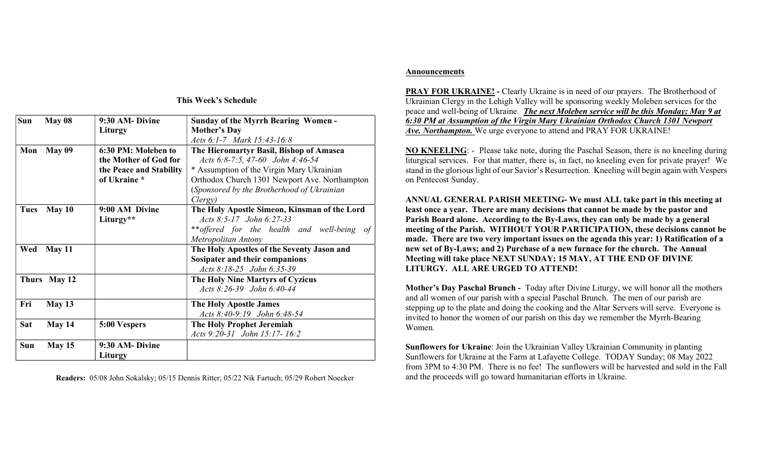| Sun         | May 08        | 9:30 AM- Divine         | <b>Sunday of the Myrrh Bearing Women -</b>    |
|-------------|---------------|-------------------------|-----------------------------------------------|
|             |               | Liturgy                 | <b>Mother's Day</b>                           |
|             |               |                         | Acts 6:1-7 Mark 15:43-16:8                    |
| Mon         | <b>May 09</b> | 6:30 PM: Moleben to     | The Hieromartyr Basil, Bishop of Amasea       |
|             |               | the Mother of God for   | Acts 6:8-7:5, 47-60 John 4:46-54              |
|             |               | the Peace and Stability | * Assumption of the Virgin Mary Ukrainian     |
|             |               | of Ukraine *            | Orthodox Church 1301 Newport Ave. Northampton |
|             |               |                         | (Sponsored by the Brotherhood of Ukrainian    |
|             |               |                         | Clergy)                                       |
| <b>Tues</b> | May 10        | 9:00 AM Divine          | The Holy Apostle Simeon, Kinsman of the Lord  |
|             |               | Liturgy**               | Acts 8:5-17 John 6:27-33                      |
|             |               |                         | ** offered for the health and well-being of   |
|             |               |                         | Metropolitan Antony                           |
| Wed         | <b>May 11</b> |                         | The Holy Apostles of the Seventy Jason and    |
|             |               |                         | Sosipater and their companions                |
|             |               |                         | Acts 8:18-25 John 6:35-39                     |
|             | Thurs May 12  |                         | The Holy Nine Martyrs of Cyzicus              |
|             |               |                         | Acts 8:26-39 John 6:40-44                     |
| Fri         | May 13        |                         | The Holy Apostle James                        |
|             |               |                         | Acts 8:40-9:19 John 6:48-54                   |
| Sat         | May 14        | 5:00 Vespers            | The Holy Prophet Jeremiah                     |
|             |               |                         | Acts 9:20-31 John 15:17-16:2                  |
| <b>Sun</b>  | May 15        | 9:30 AM- Divine         |                                               |
|             |               | Liturgy                 |                                               |

This Week's Schedule

Readers: 05/08 John Sokalsky; 05/15 Dennis Ritter; 05/22 Nik Fartuch; 05/29 Robert Noecker

#### Announcements

PRAY FOR UKRAINE! - Clearly Ukraine is in need of our prayers. The Brotherhood of Ukrainian Clergy in the Lehigh Valley will be sponsoring weekly Moleben services for the peace and well-being of Ukraine. The next Moleben service will be this Monday; May 9 at 6:30 PM at Assumption of the Virgin Mary Ukrainian Orthodox Church 1301 Newport Ave. Northampton. We urge everyone to attend and PRAY FOR UKRAINE!

NO KNEELING: - Please take note, during the Paschal Season, there is no kneeling during liturgical services. For that matter, there is, in fact, no kneeling even for private prayer! We stand in the glorious light of our Savior's Resurrection. Kneeling will begin again with Vespers on Pentecost Sunday.

ANNUAL GENERAL PARISH MEETING- We must ALL take part in this meeting at least once a year. There are many decisions that cannot be made by the pastor and Parish Board alone. According to the By-Laws, they can only be made by a general meeting of the Parish. WITHOUT YOUR PARTICIPATION, these decisions cannot be made. There are two very important issues on the agenda this year: 1) Ratification of a new set of By-Laws; and 2) Purchase of a new furnace for the church. The Annual Meeting will take place NEXT SUNDAY; 15 MAY, AT THE END OF DIVINE LITURGY. ALL ARE URGED TO ATTEND!

Mother's Day Paschal Brunch - Today after Divine Liturgy, we will honor all the mothers and all women of our parish with a special Paschal Brunch. The men of our parish are stepping up to the plate and doing the cooking and the Altar Servers will serve. Everyone is invited to honor the women of our parish on this day we remember the Myrrh-Bearing Women.

Sunflowers for Ukraine: Join the Ukrainian Valley Ukrainian Community in planting Sunflowers for Ukraine at the Farm at Lafayette College. TODAY Sunday; 08 May 2022 from 3PM to 4:30 PM. There is no fee! The sunflowers will be harvested and sold in the Fall and the proceeds will go toward humanitarian efforts in Ukraine.